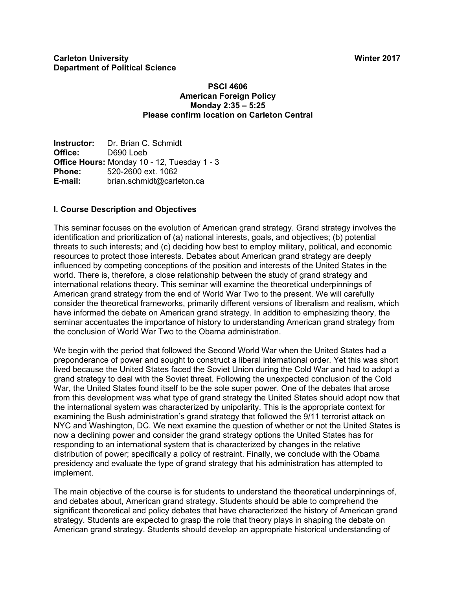#### **PSCI 4606 American Foreign Policy Monday 2:35 – 5:25 Please confirm location on Carleton Central**

**Instructor:** Dr. Brian C. Schmidt **Office:** D690 Loeb **Office Hours:** Monday 10 - 12, Tuesday 1 - 3 **Phone:** 520-2600 ext. 1062 **E-mail:** brian.schmidt@carleton.ca

# **I. Course Description and Objectives**

This seminar focuses on the evolution of American grand strategy. Grand strategy involves the identification and prioritization of (a) national interests, goals, and objectives; (b) potential threats to such interests; and (c) deciding how best to employ military, political, and economic resources to protect those interests. Debates about American grand strategy are deeply influenced by competing conceptions of the position and interests of the United States in the world. There is, therefore, a close relationship between the study of grand strategy and international relations theory. This seminar will examine the theoretical underpinnings of American grand strategy from the end of World War Two to the present. We will carefully consider the theoretical frameworks, primarily different versions of liberalism and realism, which have informed the debate on American grand strategy. In addition to emphasizing theory, the seminar accentuates the importance of history to understanding American grand strategy from the conclusion of World War Two to the Obama administration.

We begin with the period that followed the Second World War when the United States had a preponderance of power and sought to construct a liberal international order. Yet this was short lived because the United States faced the Soviet Union during the Cold War and had to adopt a grand strategy to deal with the Soviet threat. Following the unexpected conclusion of the Cold War, the United States found itself to be the sole super power. One of the debates that arose from this development was what type of grand strategy the United States should adopt now that the international system was characterized by unipolarity. This is the appropriate context for examining the Bush administration's grand strategy that followed the 9/11 terrorist attack on NYC and Washington, DC. We next examine the question of whether or not the United States is now a declining power and consider the grand strategy options the United States has for responding to an international system that is characterized by changes in the relative distribution of power; specifically a policy of restraint. Finally, we conclude with the Obama presidency and evaluate the type of grand strategy that his administration has attempted to implement.

The main objective of the course is for students to understand the theoretical underpinnings of, and debates about, American grand strategy. Students should be able to comprehend the significant theoretical and policy debates that have characterized the history of American grand strategy. Students are expected to grasp the role that theory plays in shaping the debate on American grand strategy. Students should develop an appropriate historical understanding of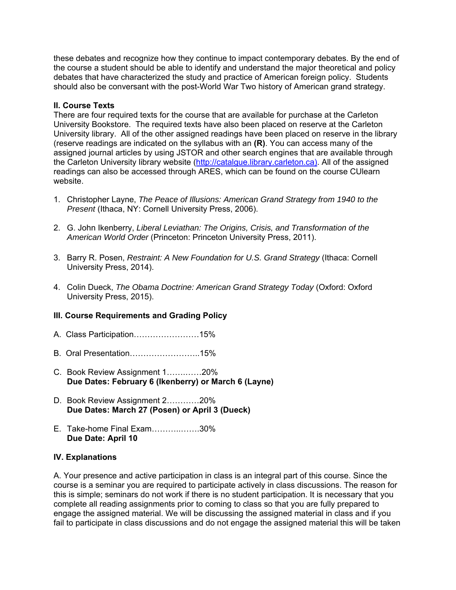these debates and recognize how they continue to impact contemporary debates. By the end of the course a student should be able to identify and understand the major theoretical and policy debates that have characterized the study and practice of American foreign policy. Students should also be conversant with the post-World War Two history of American grand strategy.

#### **II. Course Texts**

There are four required texts for the course that are available for purchase at the Carleton University Bookstore. The required texts have also been placed on reserve at the Carleton University library. All of the other assigned readings have been placed on reserve in the library (reserve readings are indicated on the syllabus with an **(R)**. You can access many of the assigned journal articles by using JSTOR and other search engines that are available through the Carleton University library website (http://catalgue.library.carleton.ca). All of the assigned readings can also be accessed through ARES, which can be found on the course CUlearn website.

- 1. Christopher Layne, *The Peace of Illusions: American Grand Strategy from 1940 to the Present* (Ithaca, NY: Cornell University Press, 2006).
- 2. G. John Ikenberry, *Liberal Leviathan: The Origins, Crisis, and Transformation of the American World Order* (Princeton: Princeton University Press, 2011).
- 3. Barry R. Posen, *Restraint: A New Foundation for U.S. Grand Strategy* (Ithaca: Cornell University Press, 2014).
- 4. Colin Dueck, *The Obama Doctrine: American Grand Strategy Today* (Oxford: Oxford University Press, 2015).

# **III. Course Requirements and Grading Policy**

- A. Class Participation……………………15%
- B. Oral Presentation……………………..15%
- C. Book Review Assignment 1…….……20% **Due Dates: February 6 (Ikenberry) or March 6 (Layne)**
- D. Book Review Assignment 2…………20% **Due Dates: March 27 (Posen) or April 3 (Dueck)**
- E. Take-home Final Exam………..…….30% **Due Date: April 10**

## **IV. Explanations**

A. Your presence and active participation in class is an integral part of this course. Since the course is a seminar you are required to participate actively in class discussions. The reason for this is simple; seminars do not work if there is no student participation. It is necessary that you complete all reading assignments prior to coming to class so that you are fully prepared to engage the assigned material. We will be discussing the assigned material in class and if you fail to participate in class discussions and do not engage the assigned material this will be taken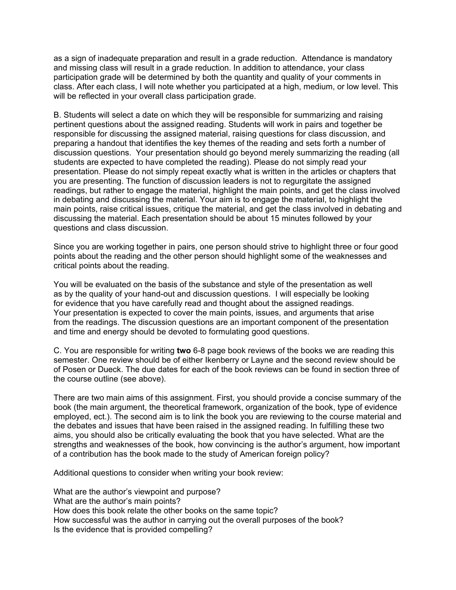as a sign of inadequate preparation and result in a grade reduction. Attendance is mandatory and missing class will result in a grade reduction. In addition to attendance, your class participation grade will be determined by both the quantity and quality of your comments in class. After each class, I will note whether you participated at a high, medium, or low level. This will be reflected in your overall class participation grade.

B. Students will select a date on which they will be responsible for summarizing and raising pertinent questions about the assigned reading. Students will work in pairs and together be responsible for discussing the assigned material, raising questions for class discussion, and preparing a handout that identifies the key themes of the reading and sets forth a number of discussion questions. Your presentation should go beyond merely summarizing the reading (all students are expected to have completed the reading). Please do not simply read your presentation. Please do not simply repeat exactly what is written in the articles or chapters that you are presenting. The function of discussion leaders is not to regurgitate the assigned readings, but rather to engage the material, highlight the main points, and get the class involved in debating and discussing the material. Your aim is to engage the material, to highlight the main points, raise critical issues, critique the material, and get the class involved in debating and discussing the material. Each presentation should be about 15 minutes followed by your questions and class discussion.

Since you are working together in pairs, one person should strive to highlight three or four good points about the reading and the other person should highlight some of the weaknesses and critical points about the reading.

You will be evaluated on the basis of the substance and style of the presentation as well as by the quality of your hand-out and discussion questions. I will especially be looking for evidence that you have carefully read and thought about the assigned readings. Your presentation is expected to cover the main points, issues, and arguments that arise from the readings. The discussion questions are an important component of the presentation and time and energy should be devoted to formulating good questions.

C. You are responsible for writing **two** 6-8 page book reviews of the books we are reading this semester. One review should be of either Ikenberry or Layne and the second review should be of Posen or Dueck. The due dates for each of the book reviews can be found in section three of the course outline (see above).

There are two main aims of this assignment. First, you should provide a concise summary of the book (the main argument, the theoretical framework, organization of the book, type of evidence employed, ect.). The second aim is to link the book you are reviewing to the course material and the debates and issues that have been raised in the assigned reading. In fulfilling these two aims, you should also be critically evaluating the book that you have selected. What are the strengths and weaknesses of the book, how convincing is the author's argument, how important of a contribution has the book made to the study of American foreign policy?

Additional questions to consider when writing your book review:

What are the author's viewpoint and purpose? What are the author's main points? How does this book relate the other books on the same topic? How successful was the author in carrying out the overall purposes of the book? Is the evidence that is provided compelling?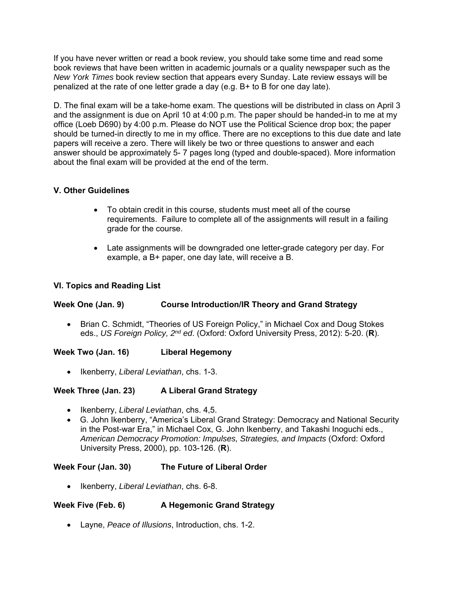If you have never written or read a book review, you should take some time and read some book reviews that have been written in academic journals or a quality newspaper such as the *New York Times* book review section that appears every Sunday. Late review essays will be penalized at the rate of one letter grade a day (e.g. B+ to B for one day late).

D. The final exam will be a take-home exam. The questions will be distributed in class on April 3 and the assignment is due on April 10 at 4:00 p.m. The paper should be handed-in to me at my office (Loeb D690) by 4:00 p.m. Please do NOT use the Political Science drop box; the paper should be turned-in directly to me in my office. There are no exceptions to this due date and late papers will receive a zero. There will likely be two or three questions to answer and each answer should be approximately 5- 7 pages long (typed and double-spaced). More information about the final exam will be provided at the end of the term.

# **V. Other Guidelines**

- To obtain credit in this course, students must meet all of the course requirements. Failure to complete all of the assignments will result in a failing grade for the course.
- Late assignments will be downgraded one letter-grade category per day. For example, a B+ paper, one day late, will receive a B.

# **VI. Topics and Reading List**

## **Week One (Jan. 9) Course Introduction/IR Theory and Grand Strategy**

• Brian C. Schmidt, "Theories of US Foreign Policy," in Michael Cox and Doug Stokes eds., *US Foreign Policy, 2nd ed*. (Oxford: Oxford University Press, 2012): 5-20. (**R**).

## **Week Two (Jan. 16) Liberal Hegemony**

Ikenberry, *Liberal Leviathan*, chs. 1-3.

## **Week Three (Jan. 23) A Liberal Grand Strategy**

- Ikenberry, *Liberal Leviathan*, chs. 4,5.
- G. John Ikenberry, "America's Liberal Grand Strategy: Democracy and National Security in the Post-war Era," in Michael Cox, G. John Ikenberry, and Takashi Inoguchi eds., *American Democracy Promotion: Impulses, Strategies, and Impacts* (Oxford: Oxford University Press, 2000), pp. 103-126. (**R**).

## **Week Four (Jan. 30) The Future of Liberal Order**

• Ikenberry, *Liberal Leviathan*, chs. 6-8.

## Week Five (Feb. 6) **A Hegemonic Grand Strategy**

Layne, *Peace of Illusions*, Introduction, chs. 1-2.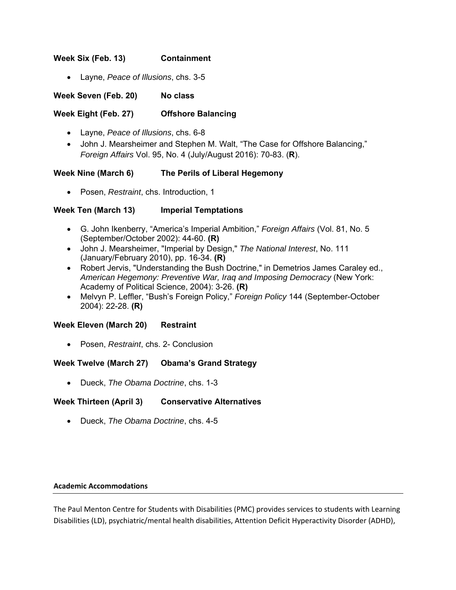#### **Week Six (Feb. 13) Containment**

Layne, *Peace of Illusions*, chs. 3-5

**Week Seven (Feb. 20) No class** 

## **Week Eight (Feb. 27) Offshore Balancing**

- Layne, *Peace of Illusions*, chs. 6-8
- John J. Mearsheimer and Stephen M. Walt, "The Case for Offshore Balancing," *Foreign Affairs* Vol. 95, No. 4 (July/August 2016): 70-83. (**R**).

#### **Week Nine (March 6) The Perils of Liberal Hegemony**

Posen, *Restraint*, chs. Introduction, 1

#### **Week Ten (March 13) Imperial Temptations**

- G. John Ikenberry, "America's Imperial Ambition," *Foreign Affairs* (Vol. 81, No. 5 (September/October 2002): 44-60. **(R)**
- John J. Mearsheimer, "Imperial by Design," *The National Interest*, No. 111 (January/February 2010), pp. 16-34. **(R)**
- Robert Jervis, "Understanding the Bush Doctrine," in Demetrios James Caraley ed., *American Hegemony: Preventive War, Iraq and Imposing Democracy* (New York: Academy of Political Science, 2004): 3-26. **(R)**
- Melvyn P. Leffler, "Bush's Foreign Policy," *Foreign Policy* 144 (September-October 2004): 22-28. **(R)**

#### **Week Eleven (March 20) Restraint**

Posen, *Restraint*, chs. 2- Conclusion

#### **Week Twelve (March 27) Obama's Grand Strategy**

Dueck, *The Obama Doctrine*, chs. 1-3

## **Week Thirteen (April 3) Conservative Alternatives**

Dueck, *The Obama Doctrine*, chs. 4-5

#### **Academic Accommodations**

The Paul Menton Centre for Students with Disabilities (PMC) provides services to students with Learning Disabilities (LD), psychiatric/mental health disabilities, Attention Deficit Hyperactivity Disorder (ADHD),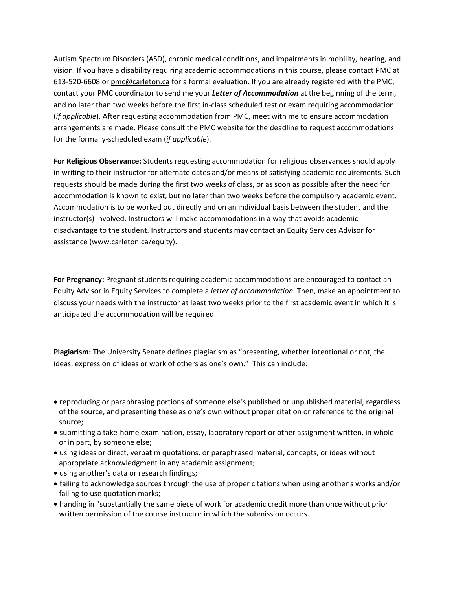Autism Spectrum Disorders (ASD), chronic medical conditions, and impairments in mobility, hearing, and vision. If you have a disability requiring academic accommodations in this course, please contact PMC at 613‐520‐6608 or pmc@carleton.ca for a formal evaluation. If you are already registered with the PMC, contact your PMC coordinator to send me your *Letter of Accommodation* at the beginning of the term, and no later than two weeks before the first in-class scheduled test or exam requiring accommodation (*if applicable*). After requesting accommodation from PMC, meet with me to ensure accommodation arrangements are made. Please consult the PMC website for the deadline to request accommodations for the formally‐scheduled exam (*if applicable*).

**For Religious Observance:** Students requesting accommodation for religious observances should apply in writing to their instructor for alternate dates and/or means of satisfying academic requirements. Such requests should be made during the first two weeks of class, or as soon as possible after the need for accommodation is known to exist, but no later than two weeks before the compulsory academic event. Accommodation is to be worked out directly and on an individual basis between the student and the instructor(s) involved. Instructors will make accommodations in a way that avoids academic disadvantage to the student. Instructors and students may contact an Equity Services Advisor for assistance (www.carleton.ca/equity).

**For Pregnancy:** Pregnant students requiring academic accommodations are encouraged to contact an Equity Advisor in Equity Services to complete a *letter of accommodation*. Then, make an appointment to discuss your needs with the instructor at least two weeks prior to the first academic event in which it is anticipated the accommodation will be required.

**Plagiarism:** The University Senate defines plagiarism as "presenting, whether intentional or not, the ideas, expression of ideas or work of others as one's own." This can include:

- reproducing or paraphrasing portions of someone else's published or unpublished material, regardless of the source, and presenting these as one's own without proper citation or reference to the original source;
- submitting a take-home examination, essay, laboratory report or other assignment written, in whole or in part, by someone else;
- using ideas or direct, verbatim quotations, or paraphrased material, concepts, or ideas without appropriate acknowledgment in any academic assignment;
- using another's data or research findings;
- failing to acknowledge sources through the use of proper citations when using another's works and/or failing to use quotation marks;
- handing in "substantially the same piece of work for academic credit more than once without prior written permission of the course instructor in which the submission occurs.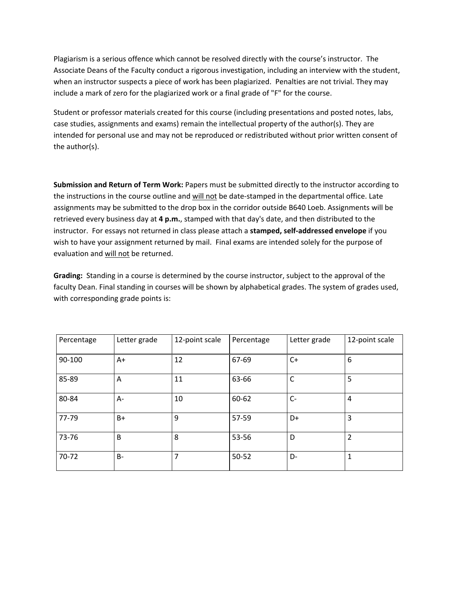Plagiarism is a serious offence which cannot be resolved directly with the course's instructor. The Associate Deans of the Faculty conduct a rigorous investigation, including an interview with the student, when an instructor suspects a piece of work has been plagiarized. Penalties are not trivial. They may include a mark of zero for the plagiarized work or a final grade of "F" for the course.

Student or professor materials created for this course (including presentations and posted notes, labs, case studies, assignments and exams) remain the intellectual property of the author(s). They are intended for personal use and may not be reproduced or redistributed without prior written consent of the author(s).

**Submission and Return of Term Work:** Papers must be submitted directly to the instructor according to the instructions in the course outline and will not be date-stamped in the departmental office. Late assignments may be submitted to the drop box in the corridor outside B640 Loeb. Assignments will be retrieved every business day at **4 p.m.**, stamped with that day's date, and then distributed to the instructor. For essays not returned in class please attach a **stamped, self‐addressed envelope** if you wish to have your assignment returned by mail. Final exams are intended solely for the purpose of evaluation and will not be returned.

**Grading:**  Standing in a course is determined by the course instructor, subject to the approval of the faculty Dean. Final standing in courses will be shown by alphabetical grades. The system of grades used, with corresponding grade points is:

| Percentage | Letter grade | 12-point scale | Percentage | Letter grade | 12-point scale |
|------------|--------------|----------------|------------|--------------|----------------|
| 90-100     | $A+$         | 12             | 67-69      | $C+$         | 6              |
| 85-89      | A            | 11             | 63-66      | С            | 5              |
| 80-84      | A-           | 10             | 60-62      | $C -$        | 4              |
| 77-79      | B+           | 9              | 57-59      | D+           | 3              |
| 73-76      | B            | 8              | 53-56      | D            | 2              |
| 70-72      | <b>B-</b>    | 7              | 50-52      | D-           | 1              |